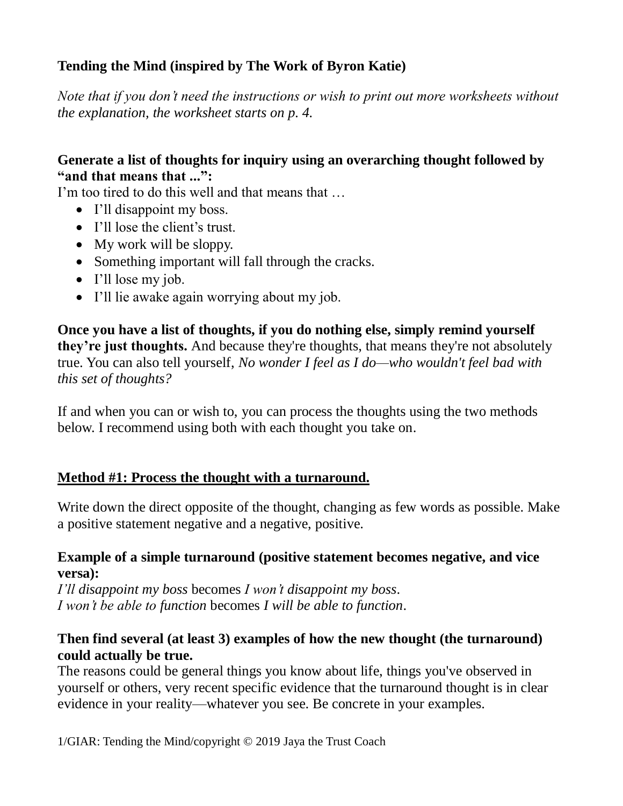# **Tending the Mind (inspired by The Work of Byron Katie)**

*Note that if you don't need the instructions or wish to print out more worksheets without the explanation, the worksheet starts on p. 4.*

### **Generate a list of thoughts for inquiry using an overarching thought followed by "and that means that ...":**

I'm too tired to do this well and that means that ...

- I'll disappoint my boss.
- I'll lose the client's trust.
- My work will be sloppy.
- Something important will fall through the cracks.
- I'll lose my job.
- I'll lie awake again worrying about my job.

**Once you have a list of thoughts, if you do nothing else, simply remind yourself they're just thoughts.** And because they're thoughts, that means they're not absolutely true. You can also tell yourself, *No wonder I feel as I do—who wouldn't feel bad with this set of thoughts?*

If and when you can or wish to, you can process the thoughts using the two methods below. I recommend using both with each thought you take on.

### **Method #1: Process the thought with a turnaround.**

Write down the direct opposite of the thought, changing as few words as possible. Make a positive statement negative and a negative, positive.

#### **Example of a simple turnaround (positive statement becomes negative, and vice versa):**

*I'll disappoint my boss* becomes *I won't disappoint my boss*. *I won't be able to function* becomes *I will be able to function*.

## **Then find several (at least 3) examples of how the new thought (the turnaround) could actually be true.**

The reasons could be general things you know about life, things you've observed in yourself or others, very recent specific evidence that the turnaround thought is in clear evidence in your reality—whatever you see. Be concrete in your examples.

1/GIAR: Tending the Mind/copyright © 2019 Jaya the Trust Coach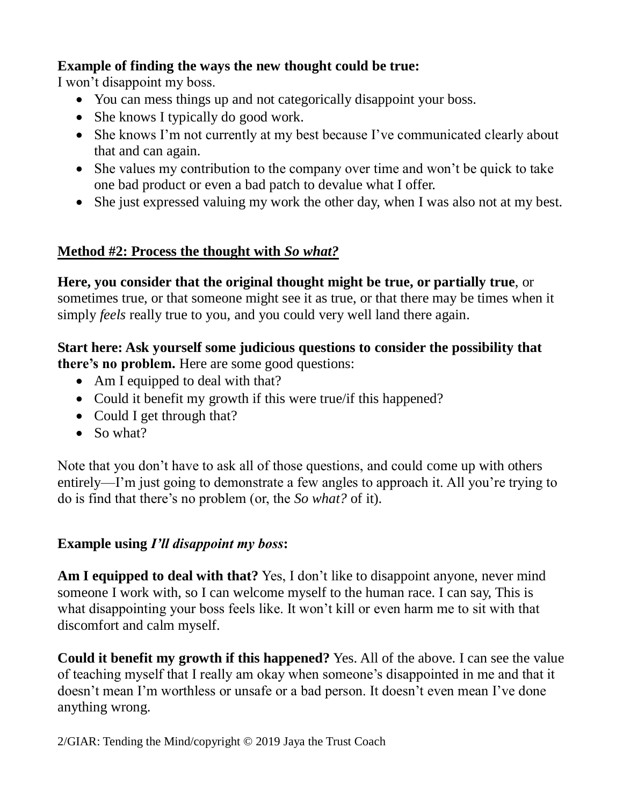## **Example of finding the ways the new thought could be true:**

I won't disappoint my boss.

- You can mess things up and not categorically disappoint your boss.
- She knows I typically do good work.
- She knows I'm not currently at my best because I've communicated clearly about that and can again.
- She values my contribution to the company over time and won't be quick to take one bad product or even a bad patch to devalue what I offer.
- She just expressed valuing my work the other day, when I was also not at my best.

# **Method #2: Process the thought with** *So what?*

**Here, you consider that the original thought might be true, or partially true**, or sometimes true, or that someone might see it as true, or that there may be times when it simply *feels* really true to you, and you could very well land there again.

### **Start here: Ask yourself some judicious questions to consider the possibility that there's no problem.** Here are some good questions:

- Am I equipped to deal with that?
- Could it benefit my growth if this were true/if this happened?
- Could I get through that?
- $\bullet$  So what?

Note that you don't have to ask all of those questions, and could come up with others entirely—I'm just going to demonstrate a few angles to approach it. All you're trying to do is find that there's no problem (or, the *So what?* of it).

# **Example using** *I'll disappoint my boss***:**

**Am I equipped to deal with that?** Yes, I don't like to disappoint anyone, never mind someone I work with, so I can welcome myself to the human race. I can say, This is what disappointing your boss feels like. It won't kill or even harm me to sit with that discomfort and calm myself.

**Could it benefit my growth if this happened?** Yes. All of the above. I can see the value of teaching myself that I really am okay when someone's disappointed in me and that it doesn't mean I'm worthless or unsafe or a bad person. It doesn't even mean I've done anything wrong.

2/GIAR: Tending the Mind/copyright © 2019 Jaya the Trust Coach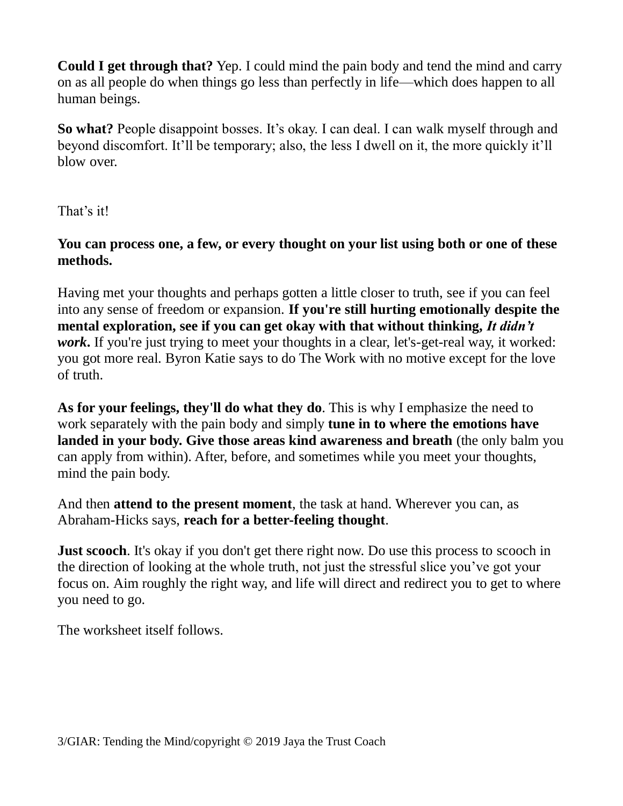**Could I get through that?** Yep. I could mind the pain body and tend the mind and carry on as all people do when things go less than perfectly in life—which does happen to all human beings.

**So what?** People disappoint bosses. It's okay. I can deal. I can walk myself through and beyond discomfort. It'll be temporary; also, the less I dwell on it, the more quickly it'll blow over.

That's it!

**You can process one, a few, or every thought on your list using both or one of these methods.**

Having met your thoughts and perhaps gotten a little closer to truth, see if you can feel into any sense of freedom or expansion. **If you're still hurting emotionally despite the mental exploration, see if you can get okay with that without thinking,** *It didn't work*. If you're just trying to meet your thoughts in a clear, let's-get-real way, it worked: you got more real. Byron Katie says to do The Work with no motive except for the love of truth.

**As for your feelings, they'll do what they do**. This is why I emphasize the need to work separately with the pain body and simply **tune in to where the emotions have landed in your body. Give those areas kind awareness and breath** (the only balm you can apply from within). After, before, and sometimes while you meet your thoughts, mind the pain body.

And then **attend to the present moment**, the task at hand. Wherever you can, as Abraham-Hicks says, **reach for a better-feeling thought**.

**Just scooch**. It's okay if you don't get there right now. Do use this process to scooch in the direction of looking at the whole truth, not just the stressful slice you've got your focus on. Aim roughly the right way, and life will direct and redirect you to get to where you need to go.

The worksheet itself follows.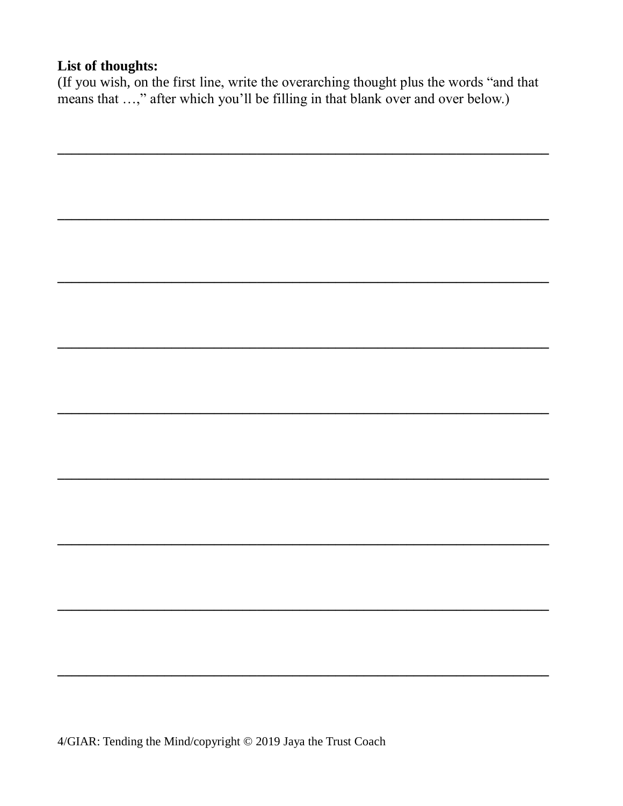### List of thoughts:

(If you wish, on the first line, write the overarching thought plus the words "and that means that ...," after which you'll be filling in that blank over and over below.)

<u> 1989 - Johann Stoff, deutscher Stoff, der Stoff, der Stoff, der Stoff, der Stoff, der Stoff, der Stoff, der S</u>

4/GIAR: Tending the Mind/copyright © 2019 Jaya the Trust Coach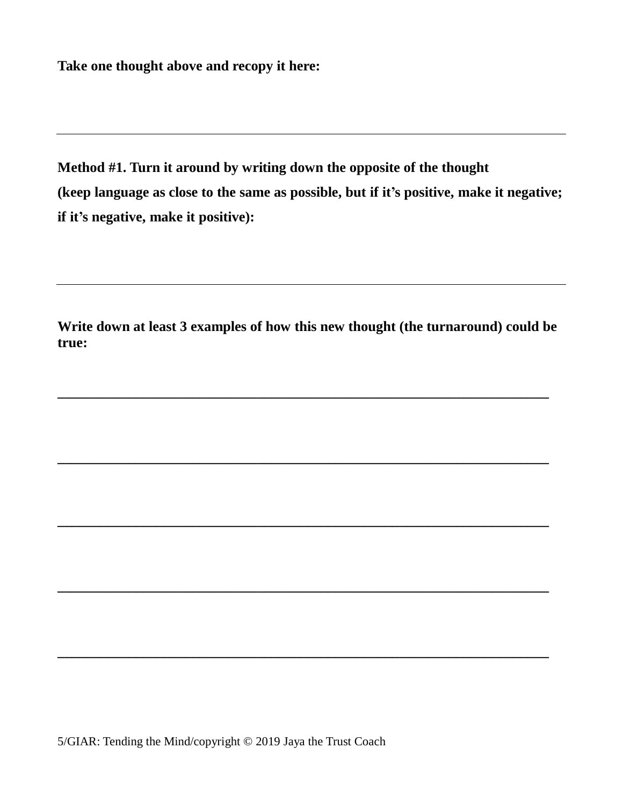**Take one thought above and recopy it here:**

**Method #1. Turn it around by writing down the opposite of the thought (keep language as close to the same as possible, but if it's positive, make it negative; if it's negative, make it positive):**

**Write down at least 3 examples of how this new thought (the turnaround) could be true:**

**\_\_\_\_\_\_\_\_\_\_\_\_\_\_\_\_\_\_\_\_\_\_\_\_\_\_\_\_\_\_\_\_\_\_\_\_\_\_\_\_\_\_\_\_\_\_\_\_\_\_\_\_\_\_\_\_\_\_\_\_\_\_\_\_\_\_\_\_\_**

**\_\_\_\_\_\_\_\_\_\_\_\_\_\_\_\_\_\_\_\_\_\_\_\_\_\_\_\_\_\_\_\_\_\_\_\_\_\_\_\_\_\_\_\_\_\_\_\_\_\_\_\_\_\_\_\_\_\_\_\_\_\_\_\_\_\_\_\_\_**

**\_\_\_\_\_\_\_\_\_\_\_\_\_\_\_\_\_\_\_\_\_\_\_\_\_\_\_\_\_\_\_\_\_\_\_\_\_\_\_\_\_\_\_\_\_\_\_\_\_\_\_\_\_\_\_\_\_\_\_\_\_\_\_\_\_\_\_\_\_**

**\_\_\_\_\_\_\_\_\_\_\_\_\_\_\_\_\_\_\_\_\_\_\_\_\_\_\_\_\_\_\_\_\_\_\_\_\_\_\_\_\_\_\_\_\_\_\_\_\_\_\_\_\_\_\_\_\_\_\_\_\_\_\_\_\_\_\_\_\_**

**\_\_\_\_\_\_\_\_\_\_\_\_\_\_\_\_\_\_\_\_\_\_\_\_\_\_\_\_\_\_\_\_\_\_\_\_\_\_\_\_\_\_\_\_\_\_\_\_\_\_\_\_\_\_\_\_\_\_\_\_\_\_\_\_\_\_\_\_\_**